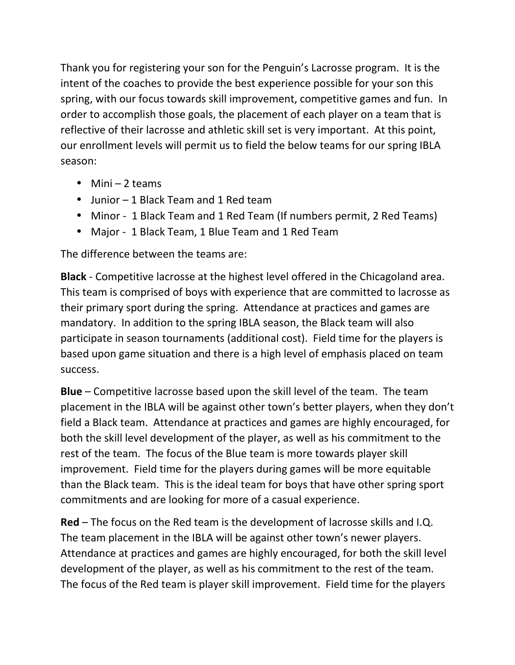Thank you for registering your son for the Penguin's Lacrosse program. It is the intent of the coaches to provide the best experience possible for your son this spring, with our focus towards skill improvement, competitive games and fun. In order to accomplish those goals, the placement of each player on a team that is reflective of their lacrosse and athletic skill set is very important. At this point, our enrollment levels will permit us to field the below teams for our spring IBLA season:

- $\bullet$  Mini 2 teams
- Junior 1 Black Team and 1 Red team
- Minor 1 Black Team and 1 Red Team (If numbers permit, 2 Red Teams)
- Major 1 Black Team, 1 Blue Team and 1 Red Team

The difference between the teams are:

**Black** - Competitive lacrosse at the highest level offered in the Chicagoland area. This team is comprised of boys with experience that are committed to lacrosse as their primary sport during the spring. Attendance at practices and games are mandatory. In addition to the spring IBLA season, the Black team will also participate in season tournaments (additional cost). Field time for the players is based upon game situation and there is a high level of emphasis placed on team success.

**Blue** – Competitive lacrosse based upon the skill level of the team. The team placement in the IBLA will be against other town's better players, when they don't field a Black team. Attendance at practices and games are highly encouraged, for both the skill level development of the player, as well as his commitment to the rest of the team. The focus of the Blue team is more towards player skill improvement. Field time for the players during games will be more equitable than the Black team. This is the ideal team for boys that have other spring sport commitments and are looking for more of a casual experience.

**Red** – The focus on the Red team is the development of lacrosse skills and I.Q. The team placement in the IBLA will be against other town's newer players. Attendance at practices and games are highly encouraged, for both the skill level development of the player, as well as his commitment to the rest of the team. The focus of the Red team is player skill improvement. Field time for the players